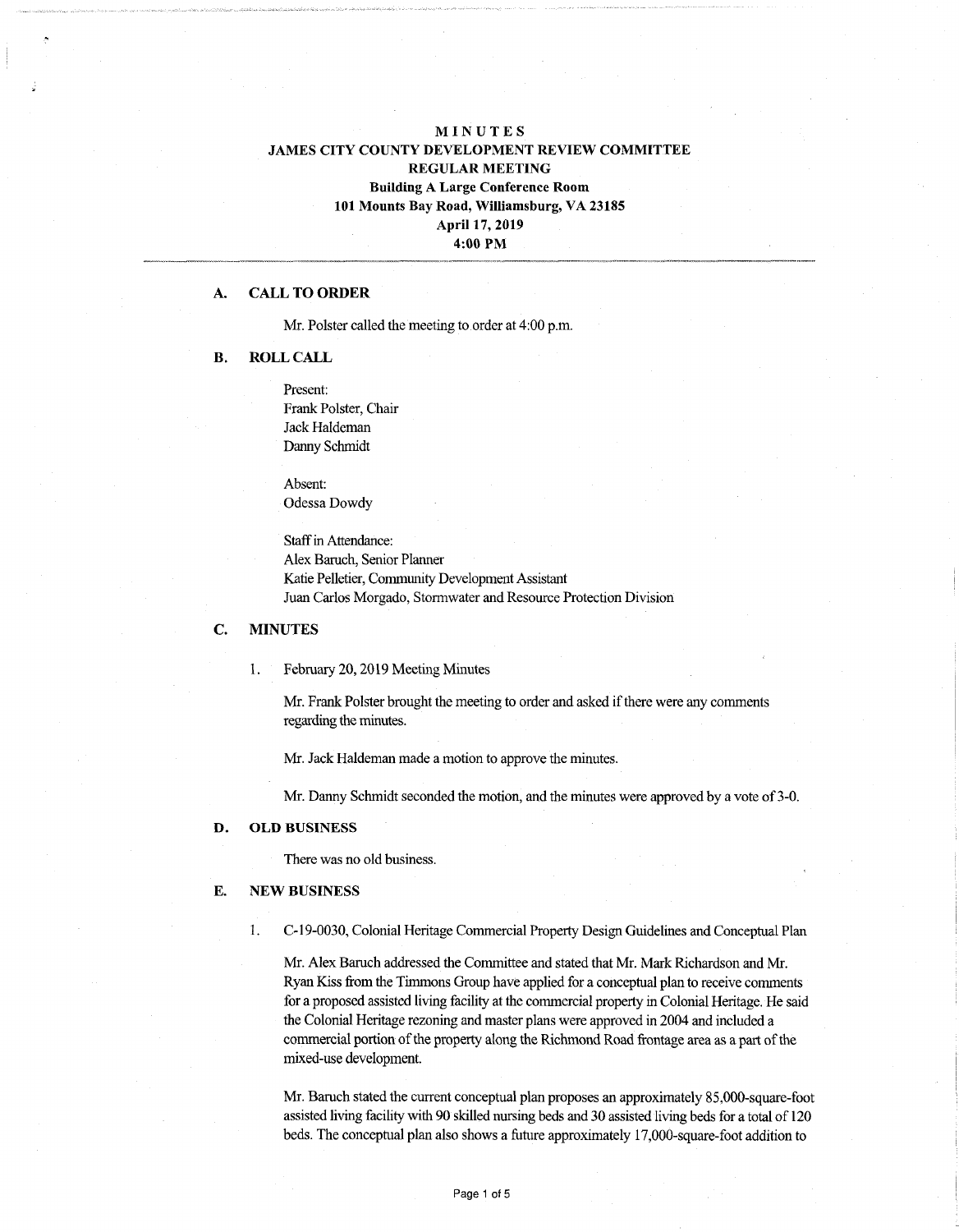# MINUTES JAMES CITY COUNTY DEVELOPMENT REVIEW COMMITTEE REGULAR MEETING Building A Large Conference Room 101 Mounts Bay Road, Williamsburg, VA 23185 April 17, 2019 4:00 PM

## A. CALL **TO ORDER**

Mr. Polster called the meeting to order at 4:00 p.m.

## B. ROLL CALL

Present: Frank Polster, Chair Jack Haldeman Danny Schmidt

Absent: Odessa Dowdy

**Staff** in Attendance: Alex Baruch, Senior Planner Katie Pelletier, Community Development Assistant Juan Carlos Morgado, Stormwater and Resource Protection Division

### C. MINUTES

1. February 20,2019 Meeting Minutes

Mr. Frank Polster brought the meeting to order and asked if there were any comments regarding the minutes.

Mr. Jack Haldeman made a motion to approve the minutes.

Mr. Danny Schmidt seconded the motion, and the minutes were approved by a vote of 3-0.

## D. **OLD** BUSINESS

There was no old business.

### E. NEW BUSINESS

1. C-19-0030, Colonial Heritage Commercial Property Design Guidelines and Conceptual Plan

Mr. Alex Baruch addressed the Committee and stated that Mr. Mark Richardson and Mr. Ryan Kiss from the Timmons Group have applied for a conceptual plan to receive comments for a proposed assisted living facility at the commercial property in Colonial Heritage. He said the Colonial Heritage rezoning and master plans were approved in 2004 and included a commercial portion of the property along the Richmond Road frontage area as a part of the mixed-use development.

Mr. Baruch stated the current conceptual plan proposes an approximately 85,000-square-foot assisted living facility with 90 skilled nursing beds and 30 assisted living beds for a total of 120 beds. The conceptual plan also shows a future approximately 17,000-square-foot addition to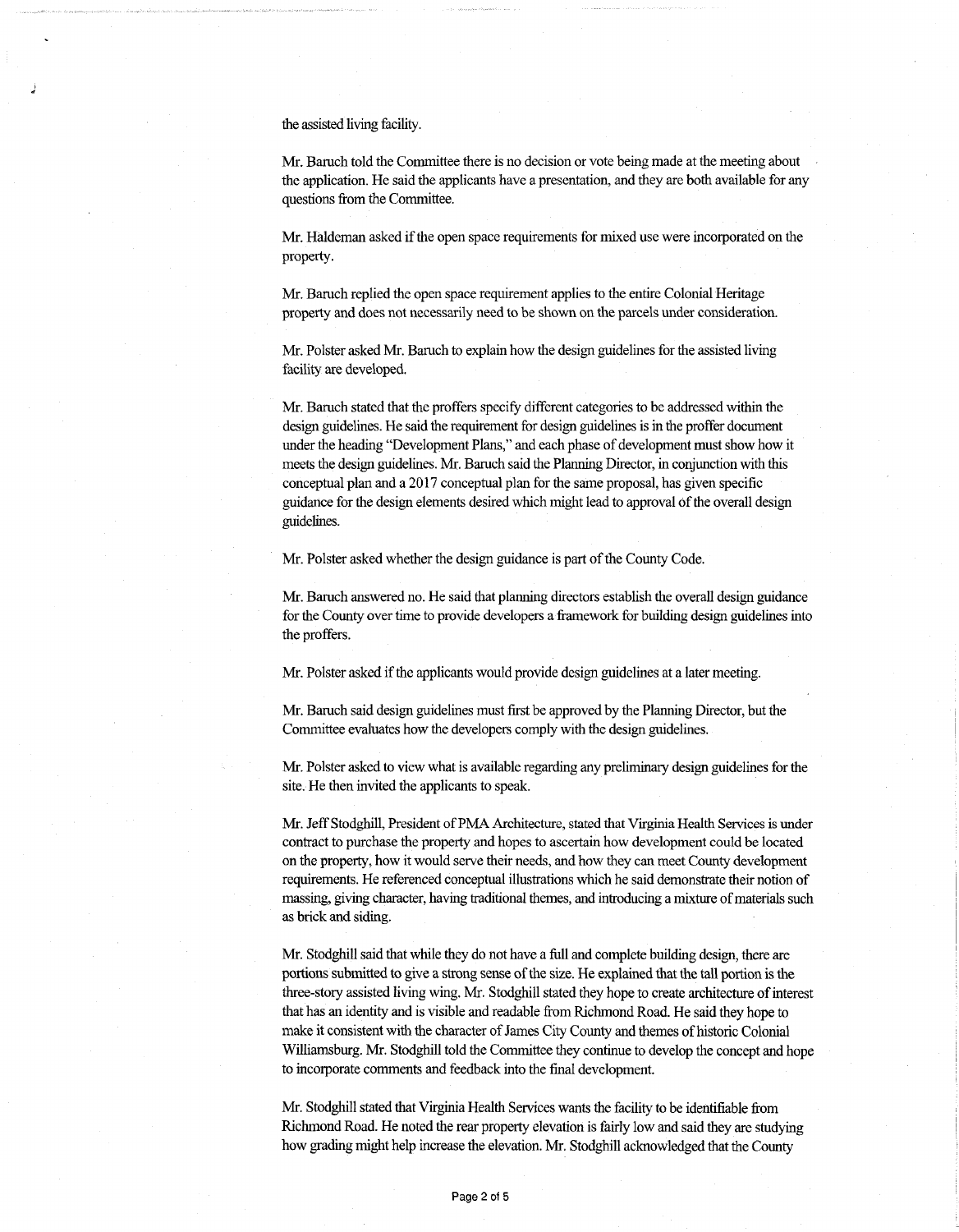the assisted living facility.

Mr. Baruch told the Committee there is no decision or vote being made atthe meeting about the application. He said the applicants have a presentation, and they are both available for any questions from the Committee.

Mr. Haldeman asked ifthe open space requirements for mixed use were incorporated on the property.

Mr. Baruch replied the open space requirement applies to the entire Colonial Heritage property and does not necessarily need to be shown on the parcels under consideration.

Mr. Polster asked Mr. Baruch to explain how the design guidelines for the assisted living facility are developed.

Mr. Baruch stated that the proffers specify different categories to be addressed within the design guidelines. He said the requirement for design guidelines is in die proffer document under the heading "Development Plans," and each phase of development must show how it meets the design guidelines. Mr. Baruch said the Planning Director, in conjunction with this conceptual plan and a 2017 conceptual plan for the same proposal, has given specific guidance for the design elements desired which might lead to approval of the overall design guidelines.

Mr. Polster asked whether the design guidance is part of the County Code.

Mr. Baruch answered no. He said that planning directors establish the overall design guidance for the County over time to provide developers a framework for building design guidelines into the proffers.

Mr. Polster asked ifthe applicants would provide design guidelines at a later meeting.

Mr. Baruch said design guidelines must first be approved by the Planning Director, butthe Committee evaluates how the developers comply with the design guidelines.

Mr. Polster asked to view what is available regarding any preliminary design guidelines for the site. He then invited the applicants to speak.

Mr. Jeff Stodghill, President of PMA Architecture, stated that Virginia Health Services is under contract to purchase the property and hopes to ascertain how development could be located on the property, how it would serve their needs, and how they can meet County development requirements. He referenced conceptual illustrations which he said demonstrate their notion of massing, giving character, having traditional themes, and introducing a mixture of materials such as brick and siding.

Mr. Stodghill said that while they do not have a full and complete building design, there are portions submitted to give a strong sense of the size. He explained that the tall portion is the three-story assisted living wing. Mr. Stodghill stated they hope to create architecture of interest that has an identity and is visible and readable from Richmond Road. He said they hope to make it consistent with the character of James City County and themes of historic Colonial Williamsburg. Mr. Stodghill told the Committee they continue to develop the concept and hope to incorporate comments and feedback into the final development.

Mr. Stodghill stated that Virginia Health Services wants the facility to be identifiable from Richmond Road. He noted the rear property elevation is fairly low and said they are studying how grading might help increase the elevation. Mr. Stodghill acknowledged that the County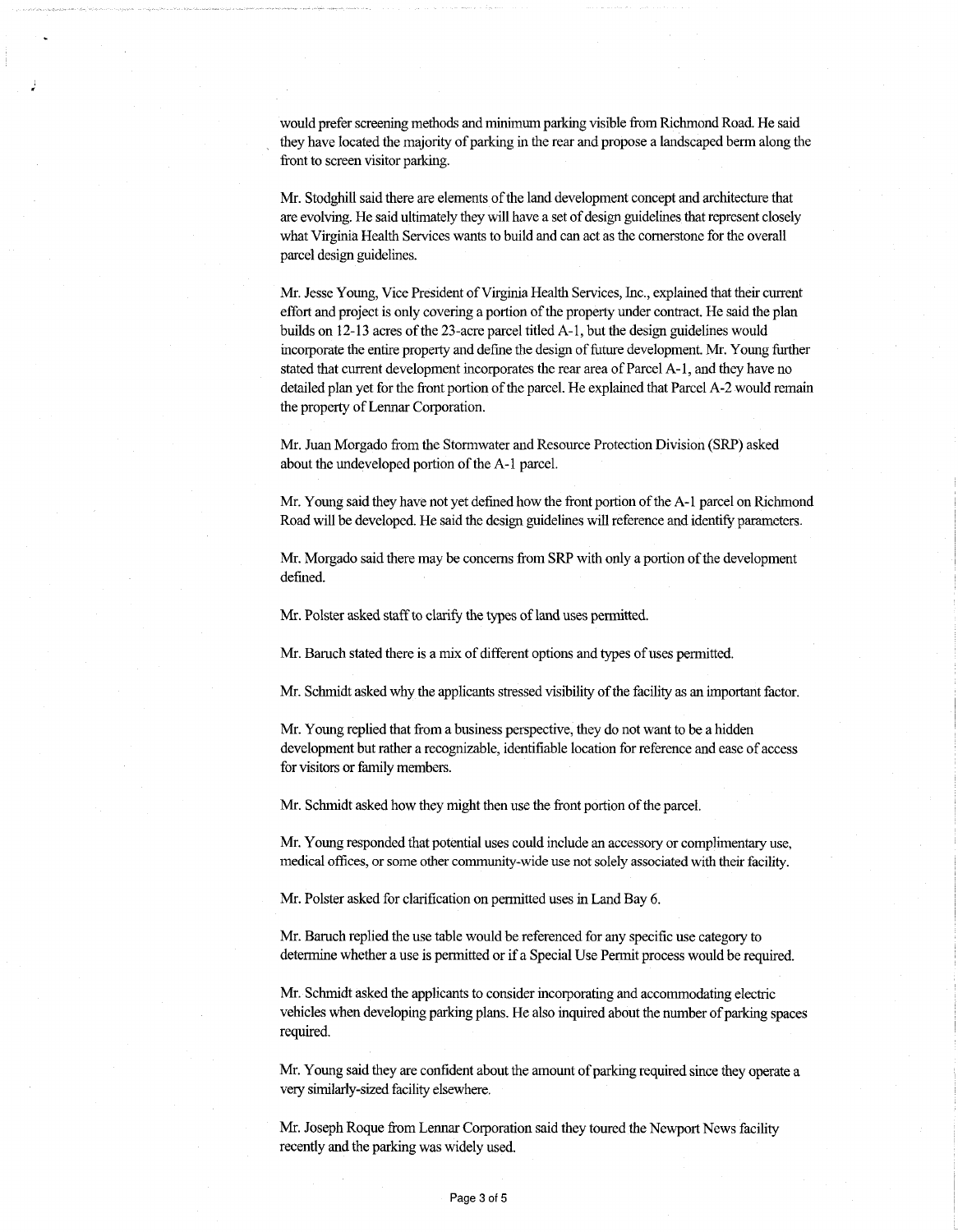would prefer screening methods and minimumparking visible from Richmond Road. He said they have located the majority of parking in the rear and propose a landscaped berm along the front to screen visitor parking.

Mr. Stodghill said there are elements of the land development concept and architecture that are evolving. He said ultimately they will have a set of design guidelines that represent closely what Virginia Health Services wants to build and can act as the cornerstone for the overall parcel design guidelines.

Mr. Jesse Young, Vice President of Virginia Health Services, Inc., explained that their current effort and project is only covering a portion ofthe property under contract. He said the plan builds on 12-13 acres of the 23-acre parcel titled A-1, but the design guidelines would incorporate the entire property and define the design of future development. Mr. Young further stated that current development incorporates the rear area of Parcel A-1, and they have no detailed plan yet for the front portion of the parcel. He explained that Parcel A-2 would remain the property of Lennar Corporation.

Mr. Juan Morgado from the Stormwater and Resource Protection Division (SRP) asked about the undeveloped portion of the A-1 parcel.

Mr. Young said they have not yet defined how the front portion of the A-1 parcel on Richmond Road will be developed. He said the design guidelines will reference and identify parameters.

Mr. Morgado said there may be concerns from SRP with only a portion of the development defined.

Mr. Polster asked staff to clarify the types of land uses permitted.

Mr. Baruch stated there is a mix of different options and types of uses permitted.

Mr. Schmidt asked why the applicants stressed visibility of the facility as an important factor.

Mr. Young replied that from a business perspective, they do not want to be a hidden development but rather a recognizable, identifiable location for reference and ease of access for visitors or family members.

Mr. Schmidt asked how they might then use the front portion of the parcel.

Mr. Young responded that potential uses could include an accessory or complimentary use, medical offices, or some other community-wide use not solely associated with their facility.

Mr. Polster asked for clarification on permitted uses in Land Bay 6.

Mr. Baruch replied the use table would be referenced for any specific use category to determine whether a use is permitted or if a Special Use Permit process would be required.

Mr. Schmidt asked the applicants to consider incorporating and accommodating electric vehicles when developing parking plans. He also inquired about the number of parking spaces required.

Mr. Young said they are confident about the amount of parking required since they operate a very similarly-sized facility elsewhere.

Mr. Joseph Roque from Lennar Corporation said they toured the Newport News facility recently and the parking was widely used.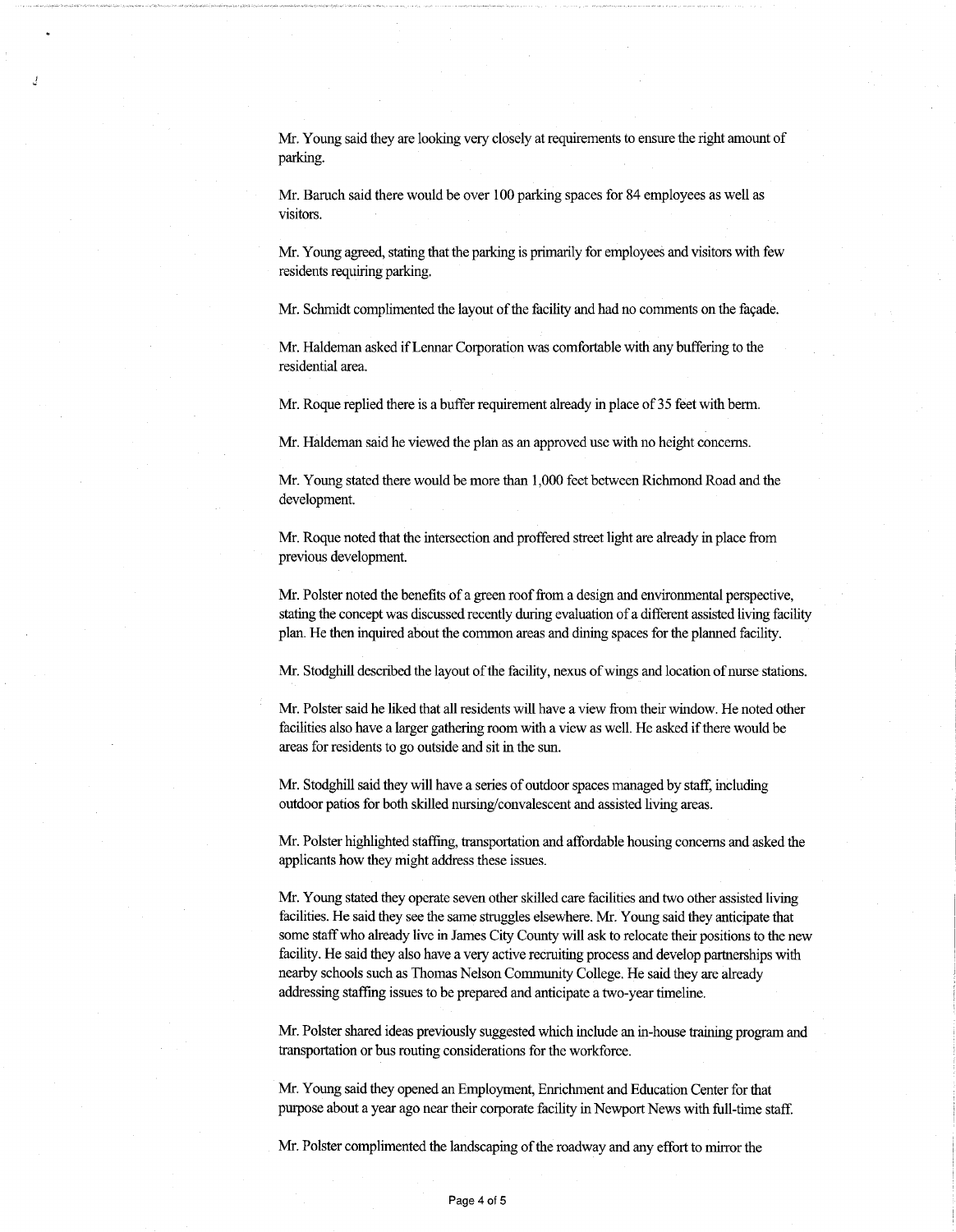Mr. Young said they are looking very closely at requirements to ensure the right amount of parking.

Mr. Baruch said there would be over 100 parking spaces for 84 employees as well as visitors.

Mr. Young agreed, stating that the parking is primarily for employees and visitors with few residents requiring parking.

Mr. Schmidt complimented the layout of the facility and had no comments on the façade.

Mr. Haldeman asked if Lennar Corporation was comfortable with any buffering to the residential area.

Mr. Roque replied there is a buffer requirement already in place of 35 feet with berm.

Mr. Haldeman said he viewed the plan as an approved use with no height concerns.

Mr. Young stated there would be more than 1,000 feet between Richmond Road and the development.

Mr. Roque noted that the intersection and proffered street light are already in place from previous development.

Mr. Polster noted the benefits of a green rooffrom a design and environmental perspective, stating the concept was discussed recently during evaluation of a different assisted living facility plan. He then inquired about the common areas and dining spaces for the planned facility.

Mr. Stodghill described the layout of the facility, nexus of wings and location of nurse stations.

Mr. Polster said he liked that all residents will have a view from their window. He noted other facilities also have a larger gathering room with a view as well. He asked if there would be areas for residents to go outside and sit in the sun.

Mr. Stodghill said they will have a series of outdoor spaces managed by staff, including outdoor patios for both skilled nursing/convalescent and assisted living areas.

Mr. Polster highlighted staffing, transportation and affordable housing concerns and asked the applicants how they might address these issues.

Mr. Young stated they operate seven other skilled care facilities and two other assisted living facilities. He said they see the same struggles elsewhere. Mr. Young said they anticipate that some staff who already live in James City County will ask to relocate their positions to the new facility. He said they also have a very active recruiting process and develop partnerships with nearby schools such as Thomas Nelson Community College. He said they are already addressing staffing issues to be prepared and anticipate a two-year timeline.

Mr. Polster shared ideas previously suggested which include an in-house training program and transportation or bus routing considerations for the workforce.

Mr. Young said they opened an Employment, Enrichment and Education Center for that purpose about a year ago near their corporate facility in Newport News with full-time staff.

Mr. Polster complimented the landscaping of the roadway and any effort to mirror the